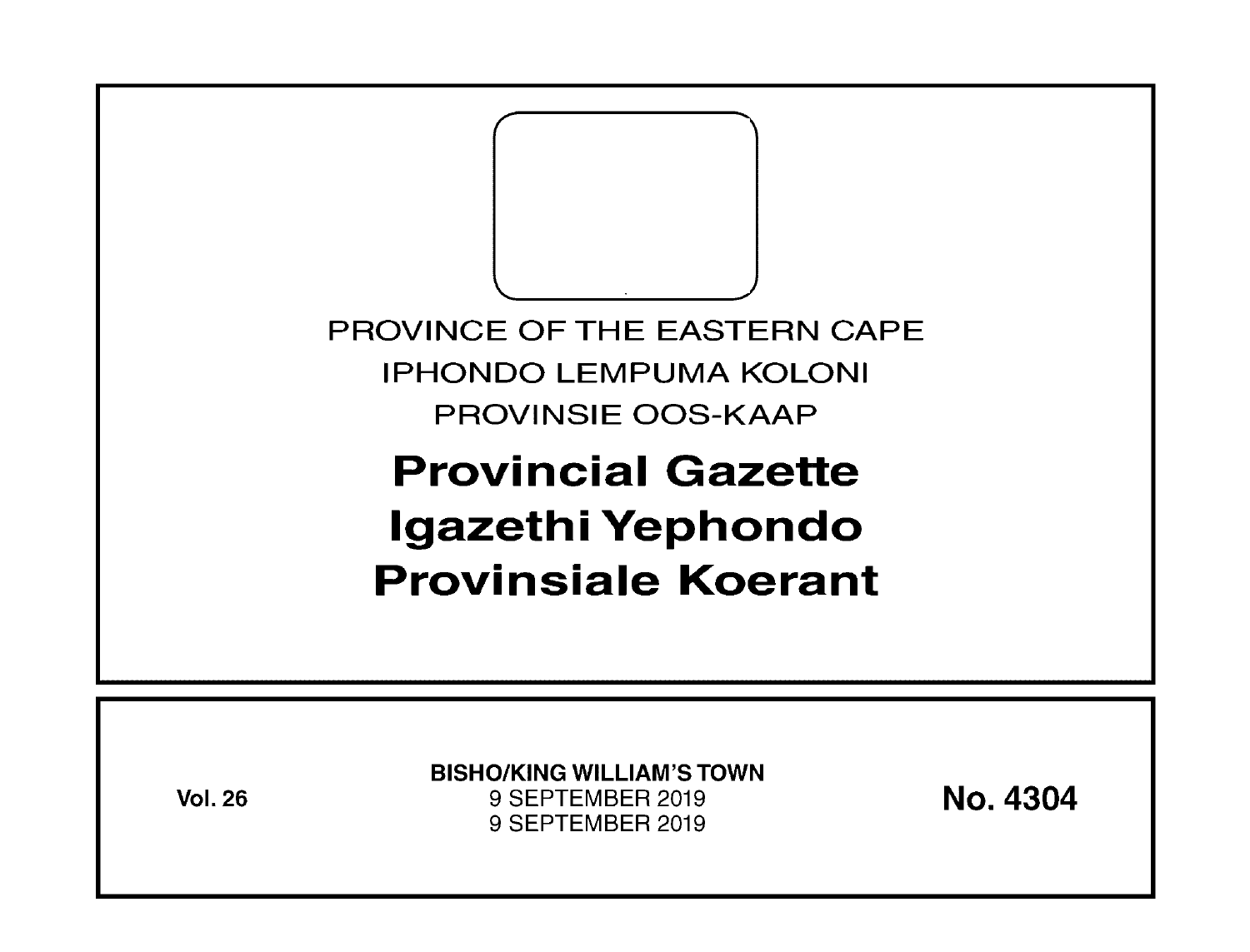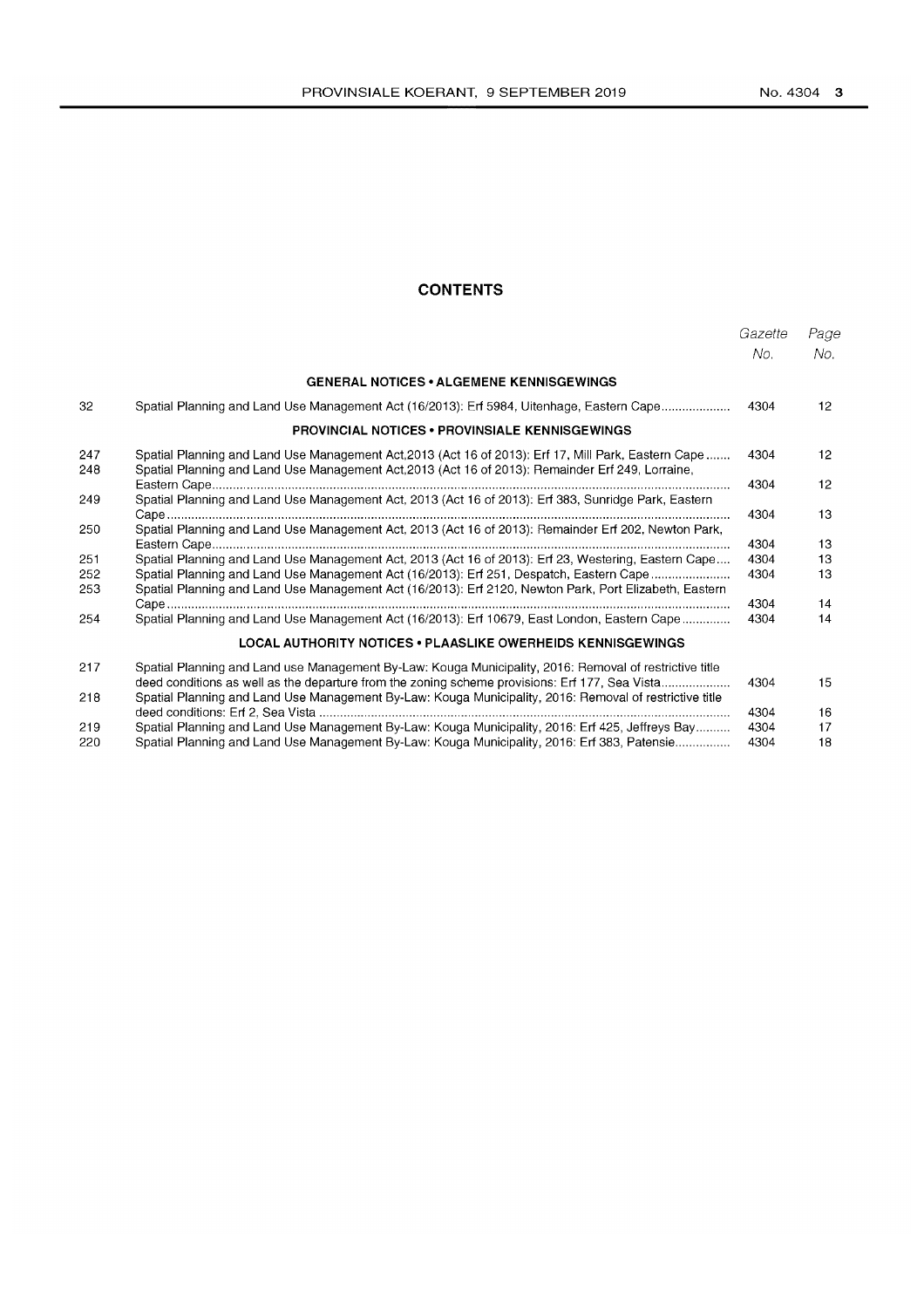18

## **CONTENTS**

|            |                                                                                                                                                                                                           | Gazette<br>No. | Page<br>No.       |
|------------|-----------------------------------------------------------------------------------------------------------------------------------------------------------------------------------------------------------|----------------|-------------------|
|            |                                                                                                                                                                                                           |                |                   |
|            | <b>GENERAL NOTICES • ALGEMENE KENNISGEWINGS</b>                                                                                                                                                           |                |                   |
| 32         | Spatial Planning and Land Use Management Act (16/2013): Erf 5984, Uitenhage, Eastern Cape                                                                                                                 | 4304           | 12 <sup>2</sup>   |
|            | <b>PROVINCIAL NOTICES • PROVINSIALE KENNISGEWINGS</b>                                                                                                                                                     |                |                   |
| 247<br>248 | Spatial Planning and Land Use Management Act, 2013 (Act 16 of 2013): Erf 17, Mill Park, Eastern Cape<br>Spatial Planning and Land Use Management Act, 2013 (Act 16 of 2013): Remainder Erf 249, Lorraine, | 4304           | 12                |
|            | Spatial Planning and Land Use Management Act, 2013 (Act 16 of 2013): Erf 383, Sunridge Park, Eastern                                                                                                      | 4304           | $12 \overline{ }$ |
| 249        |                                                                                                                                                                                                           | 4304           | 13                |
| 250        | Spatial Planning and Land Use Management Act, 2013 (Act 16 of 2013): Remainder Erf 202, Newton Park,                                                                                                      | 4304           | 13                |
| 251        | Spatial Planning and Land Use Management Act, 2013 (Act 16 of 2013): Erf 23, Westering, Eastern Cape                                                                                                      | 4304           | 13                |
| 252<br>253 | Spatial Planning and Land Use Management Act (16/2013): Erf 251, Despatch, Eastern Cape<br>Spatial Planning and Land Use Management Act (16/2013): Erf 2120, Newton Park, Port Elizabeth, Eastern         | 4304           | 13                |
|            |                                                                                                                                                                                                           | 4304           | 14                |
| 254        | Spatial Planning and Land Use Management Act (16/2013): Erf 10679, East London, Eastern Cape                                                                                                              | 4304           | 14                |
|            | LOCAL AUTHORITY NOTICES • PLAASLIKE OWERHEIDS KENNISGEWINGS                                                                                                                                               |                |                   |
| 217        | Spatial Planning and Land use Management By-Law: Kouga Municipality, 2016: Removal of restrictive title                                                                                                   |                |                   |
|            | deed conditions as well as the departure from the zoning scheme provisions: Erf 177, Sea Vista                                                                                                            | 4304           | 15                |
| 218        | Spatial Planning and Land Use Management By-Law: Kouga Municipality, 2016: Removal of restrictive title                                                                                                   |                |                   |
|            |                                                                                                                                                                                                           | 4304           | 16                |
| 219        | Spatial Planning and Land Use Management By-Law: Kouga Municipality, 2016: Erf 425, Jeffreys Bay                                                                                                          | 4304           | 17                |
| 220        | Spatial Planning and Land Use Management By-Law: Kouga Municipality, 2016: Erf 383, Patensie                                                                                                              | 4304           | 18                |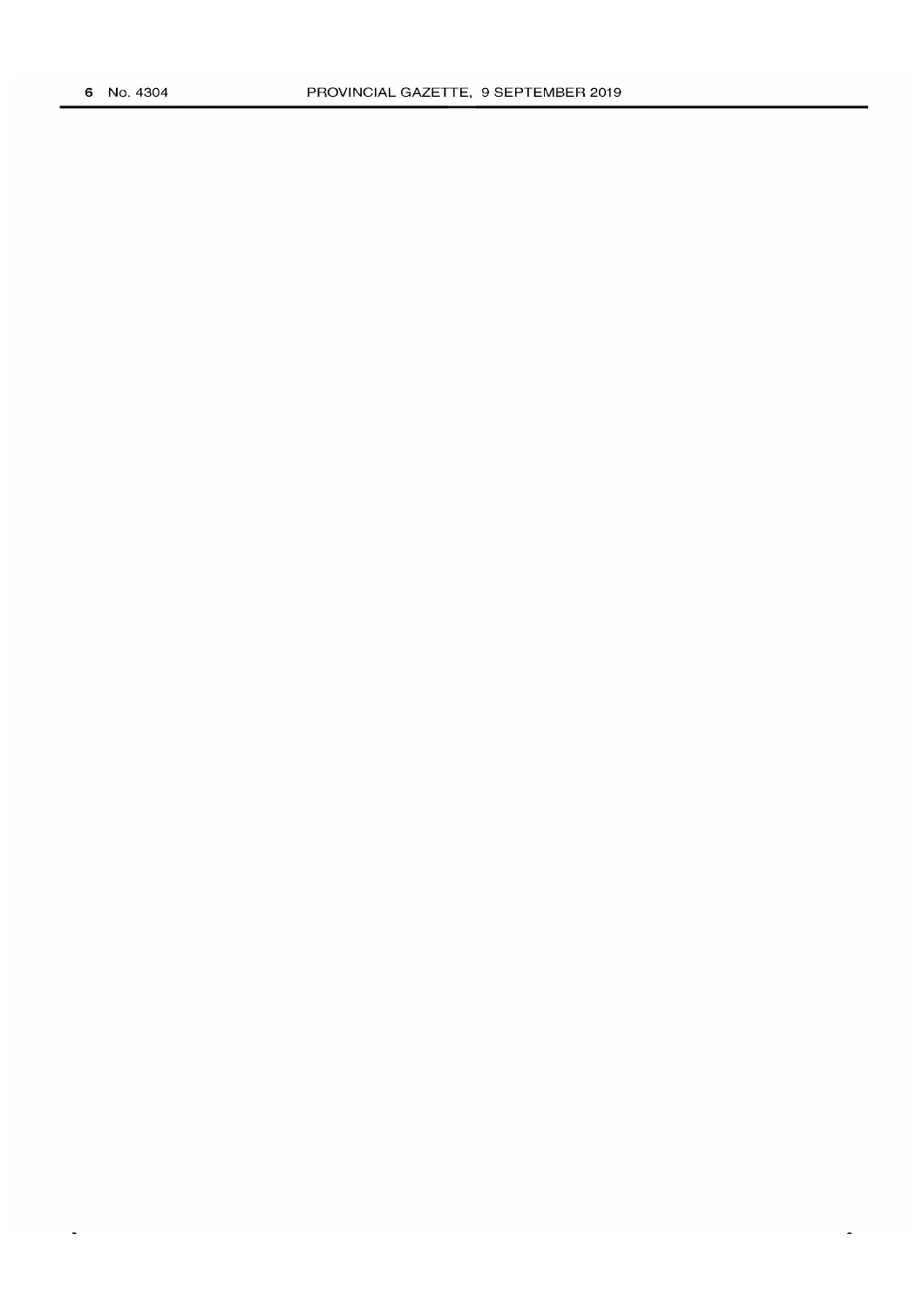$\bar{\mathcal{A}}$ 

 $\tilde{\phantom{a}}$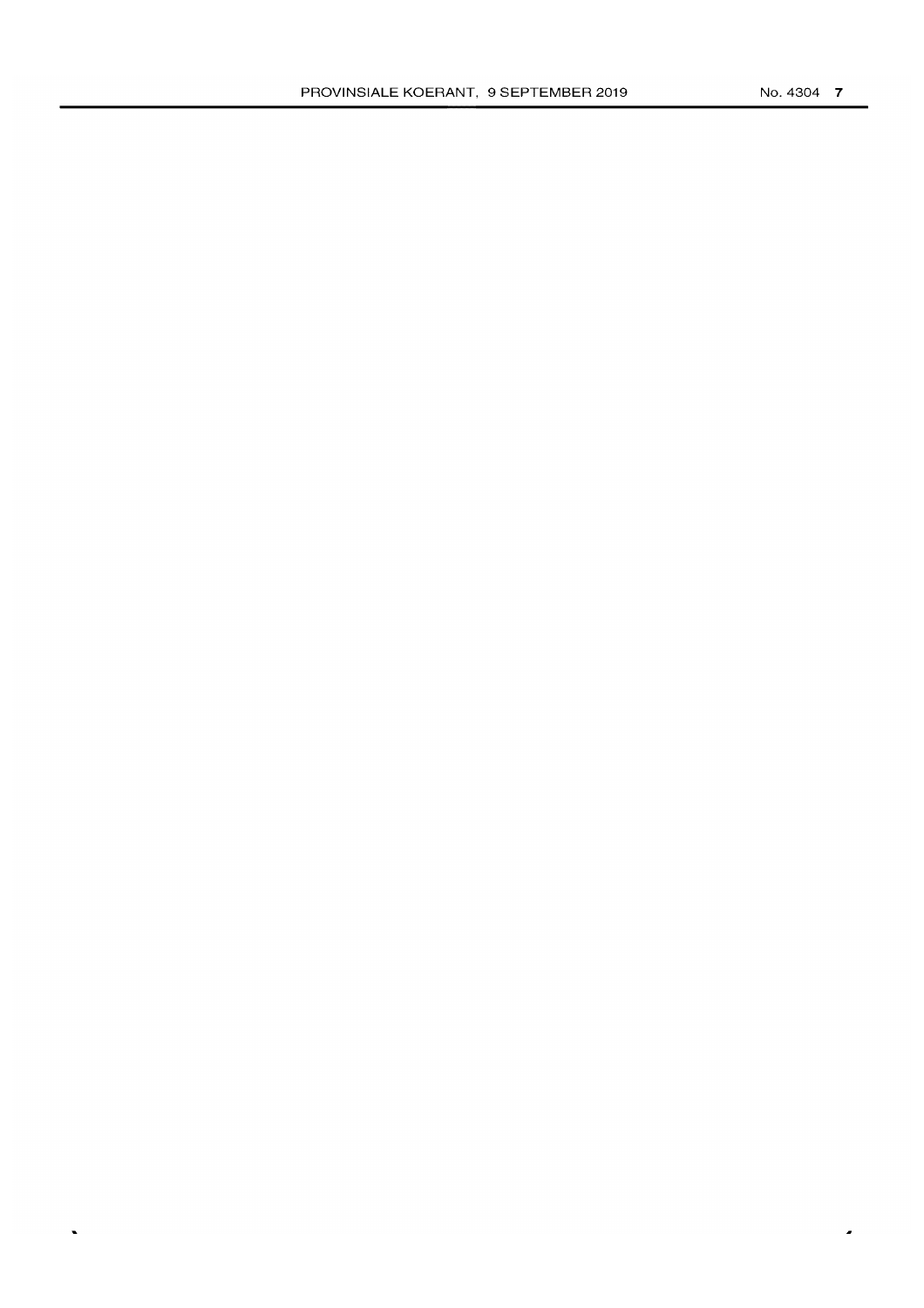$\hat{\mathbf{x}}$ 

 $\hat{\textbf{z}}$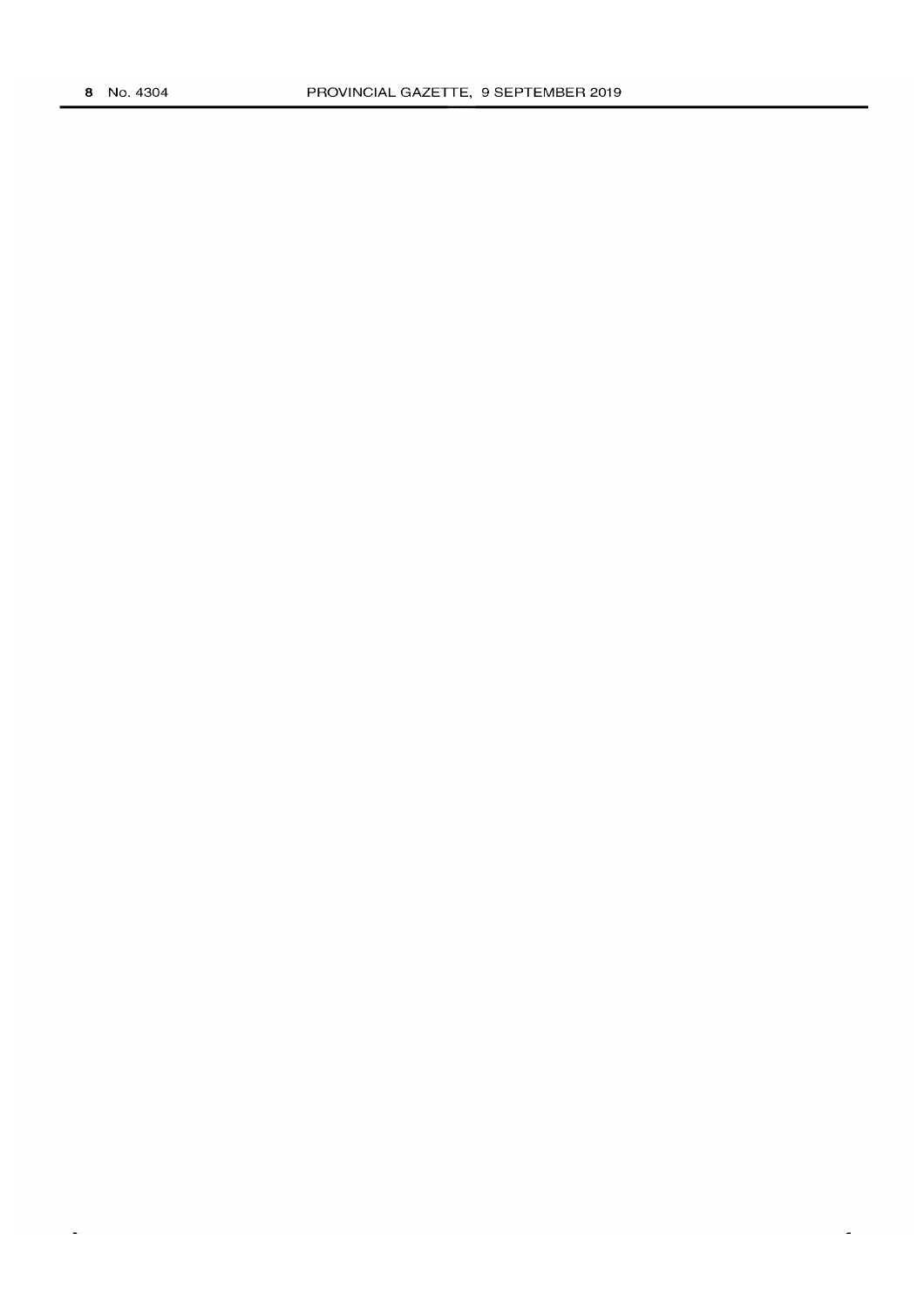$\Box$ 

 $\overline{\phantom{a}}$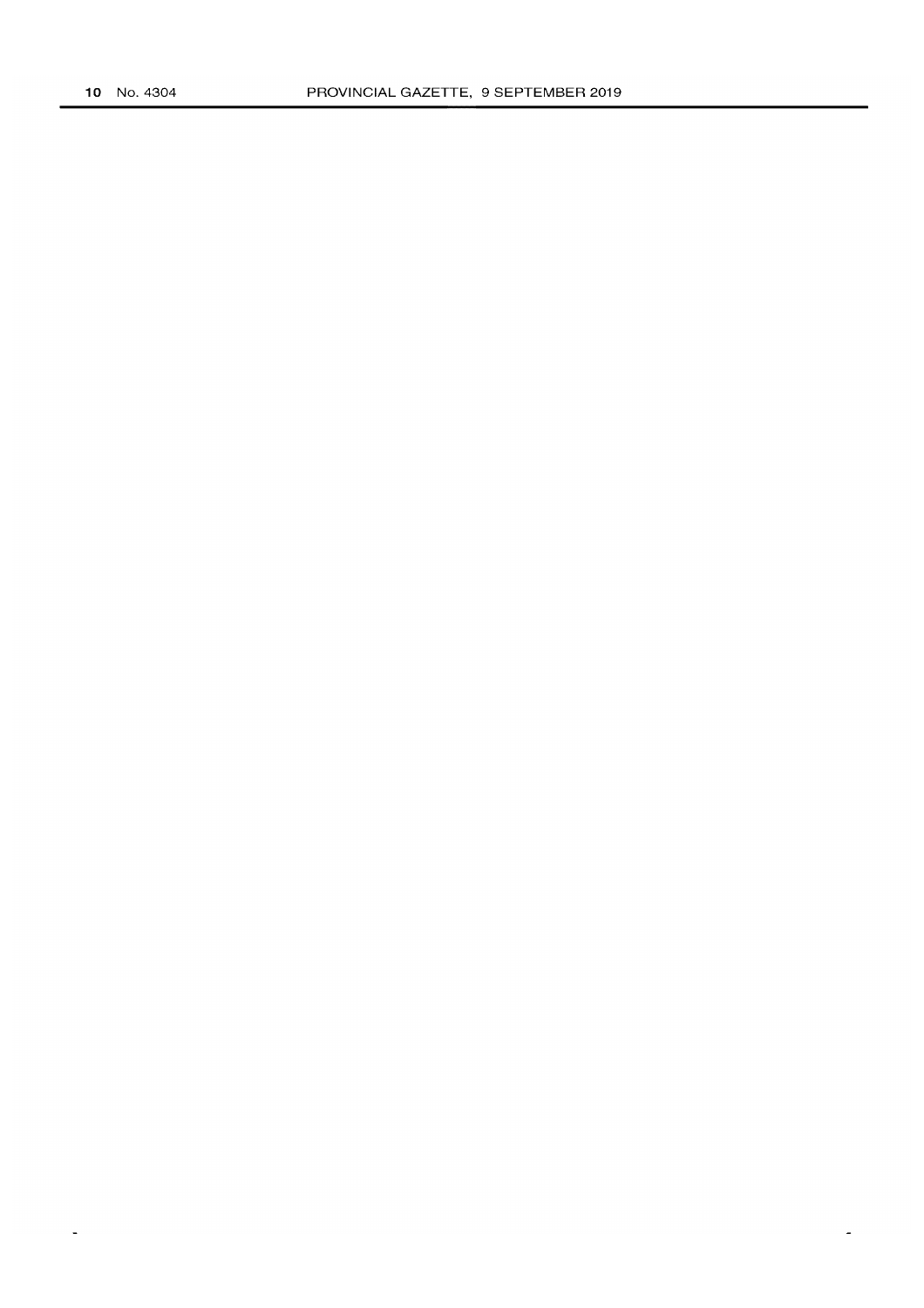$\Box$ 

 $\tilde{\phantom{a}}$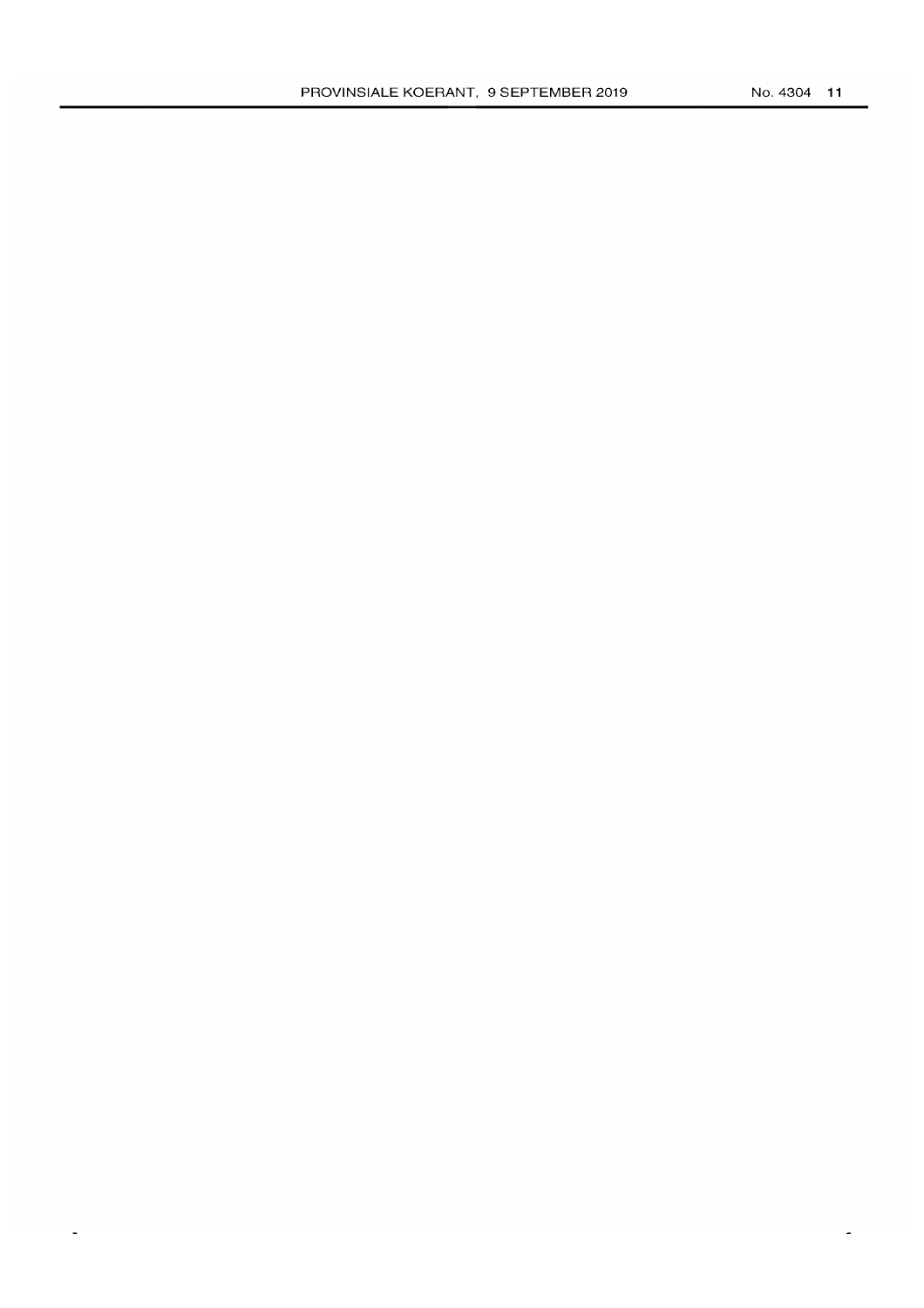$\ddot{\phantom{a}}$ 

 $\tilde{\phantom{a}}$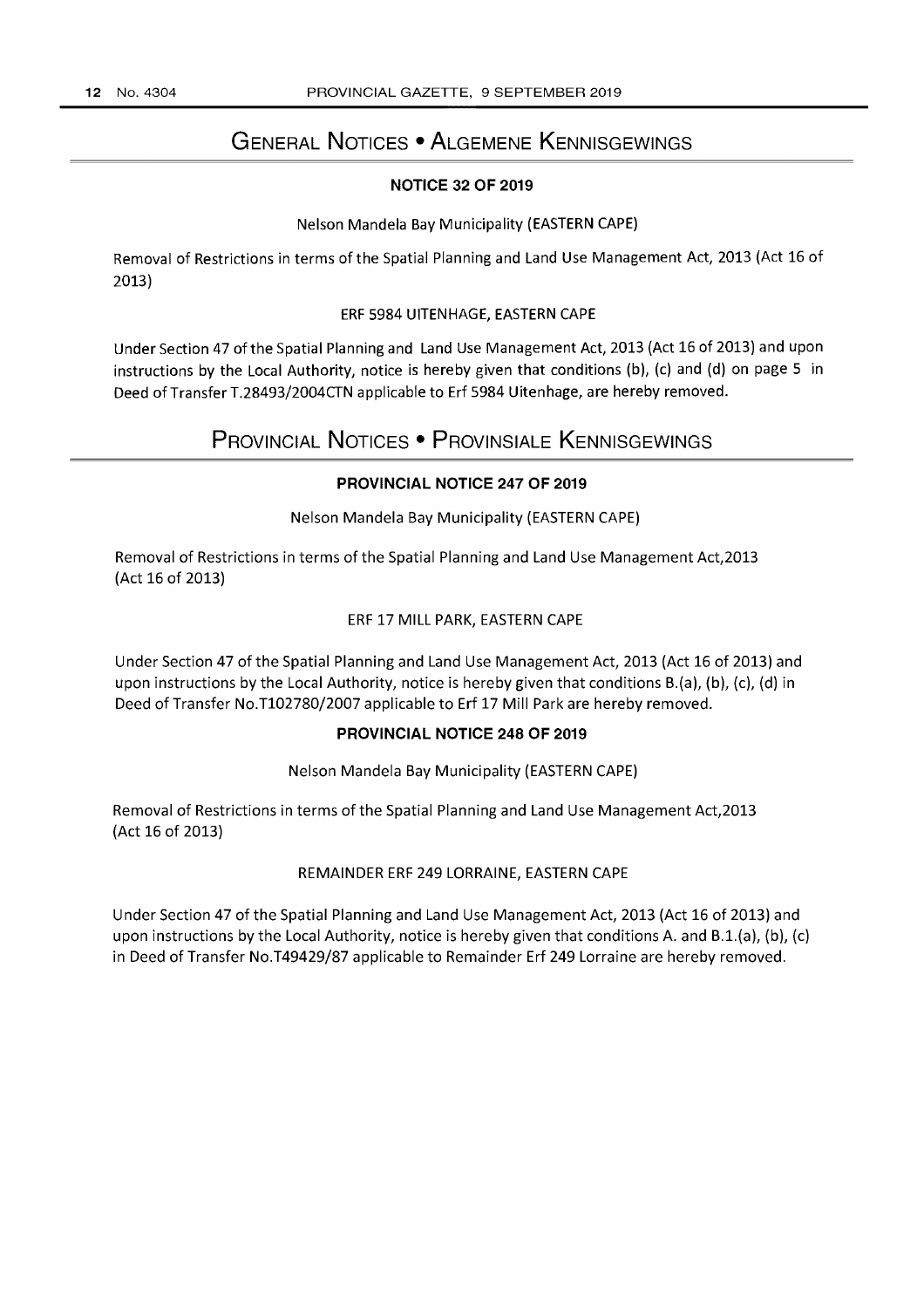# GENERAL NOTICES • ALGEMENE KENNISGEWINGS

## NOTICE 32 OF 2019

#### Nelson Mandela Bay Municipality (EASTERN CAPE)

Removal of Restrictions in terms of the Spatial Planning and Land Use Management Act, 2013 (Act 16 of 2013)

#### ERF 5984 UITENHAGE, EASTERN CAPE

Under Section 47 ofthe Spatial Planning and Land Use Management Act, 2013 (Act 16 of 2013) and upon instructions by the Local Authority, notice is hereby given that conditions (b), (c) and (d) on page 5 in Deed ofTransferT.28493/2004CTN applicable to Erf 5984 Uitenhage, are hereby removed.

# PROVINCIAL NOTICES • PROVINSIALE KENNISGEWINGS

## PROVINCIAL NOTICE 247 OF 2019

Nelson Mandela Bay Municipality (EASTERN CAPE)

Removal of Restrictions in terms of the Spatial Planning and Land Use Management Act,2013 (Act 16 of 2013)

## ERF 17 MILL PARK, EASTERN CAPE

Under Section 47 of the Spatial Planning and Land Use Management Act, 2013 (Act 16 of 2013) and upon instructions by the Local Authority, notice is hereby given that conditions  $B(q)$ , (b), (c), (d) in Deed of Transfer No.T102780/2007 applicable to Erf 17 Mill Park are hereby removed.

## PROVINCIAL NOTICE 248 OF 2019

Nelson Mandela Bay Municipality (EASTERN CAPE)

Removal of Restrictions in terms of the Spatial Planning and Land Use Management Act,2013 (Act 16 of 2013)

#### REMAINDER ERF 249 LORRAINE, EASTERN CAPE

Under Section 47 of the Spatial Planning and Land Use Management Act, 2013 (Act 16 of 2013) and upon instructions by the Local Authority, notice is hereby given that conditions A. and B.1.(a), (b), (c) in Deed of Transfer No.T49429/87 applicable to Remainder Erf 249 Lorraine are hereby removed.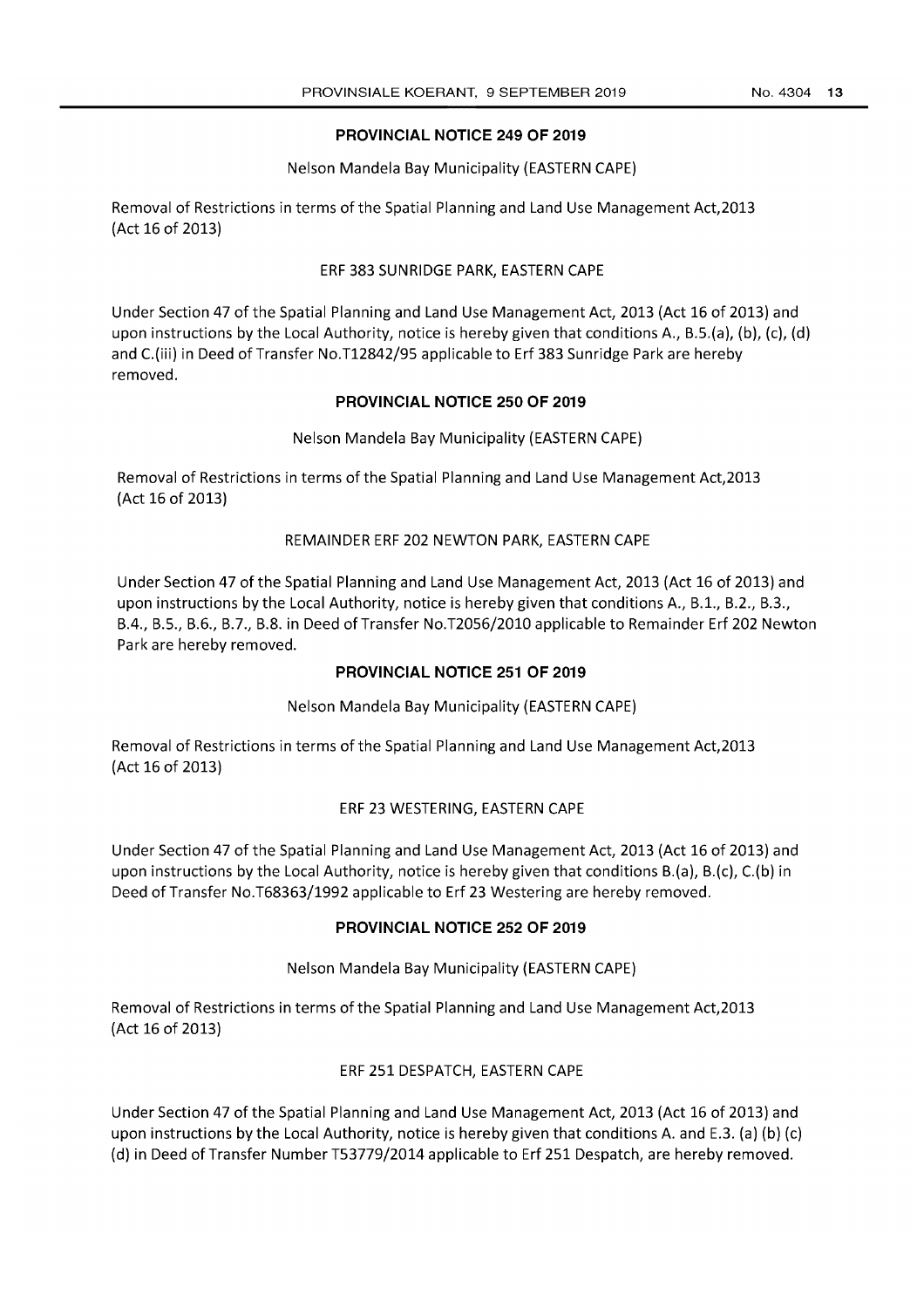## **PROVINCIAL NOTICE 249 OF 2019**

## Nelson Mandela Bay Municipality (EASTERN CAPE)

Removal of Restrictions in terms of the Spatial Planning and Land Use Management Act,2013 (Act 16 of 2013)

## ERF 383 SUNRIDGE PARK, EASTERN CAPE

Under Section 47 of the Spatial Planning and Land Use Management Act, 2013 (Act 16 of 2013) and upon instructions by the Local Authority, notice is hereby given that conditions A., B.5.{a), (b), (c), (d) and C.{iii) in Deed of Transfer No.T12842/95 applicable to Erf 383 Sunridge Park are hereby removed.

## **PROVINCIAL NOTICE 250 OF 2019**

## Nelson Mandela Bay Municipality (EASTERN CAPE)

Removal of Restrictions in terms of the Spatial Planning and Land Use Management Act,2013 (Act 16 of 2013)

## REMAINDER ERF 202 NEWTON PARK, EASTERN CAPE

Under Section 47 of the Spatial Planning and Land Use Management Act, 2013 (Act 16 of 2013) and upon instructions by the Local Authority, notice is hereby given that conditions A., B.1., B.2., B.3., B.4., B.5., B.6., B.7., B.8. in Deed of Transfer No.T2056/2010 applicable to Remainder Erf 202 Newton Park are hereby removed.

## **PROVINCIAL NOTICE 251 OF 2019**

Nelson Mandela Bay Municipality (EASTERN CAPE)

Removal of Restrictions in terms of the Spatial Planning and Land Use Management Act,2013 (Act 16 of 2013)

#### ERF 23 WESTERING, EASTERN CAPE

Under Section 47 of the Spatial Planning and Land Use Management Act, 2013 (Act 16 of 2013) and upon instructions by the Local Authority, notice is hereby given that conditions B.{a), B.{c), C.{b) in Deed of Transfer No.T68363/1992 applicable to Erf 23 Westering are hereby removed.

## **PROVINCIAL NOTICE 252 OF 2019**

## Nelson Mandela Bay Municipality (EASTERN CAPE)

Removal of Restrictions in terms of the Spatial Planning and Land Use Management Act, 2013 (Act 16 of 2013)

## ERF 251 DESPATCH, EASTERN CAPE

Under Section 47 of the Spatial Planning and Land Use Management Act, 2013 (Act 16 of 2013) and upon instructions by the Local Authority, notice is hereby given that conditions A. and E.3. (a) (b) (c) (d) in Deed of Transfer Number T53779/2014 applicable to Erf 251 Despatch, are hereby removed.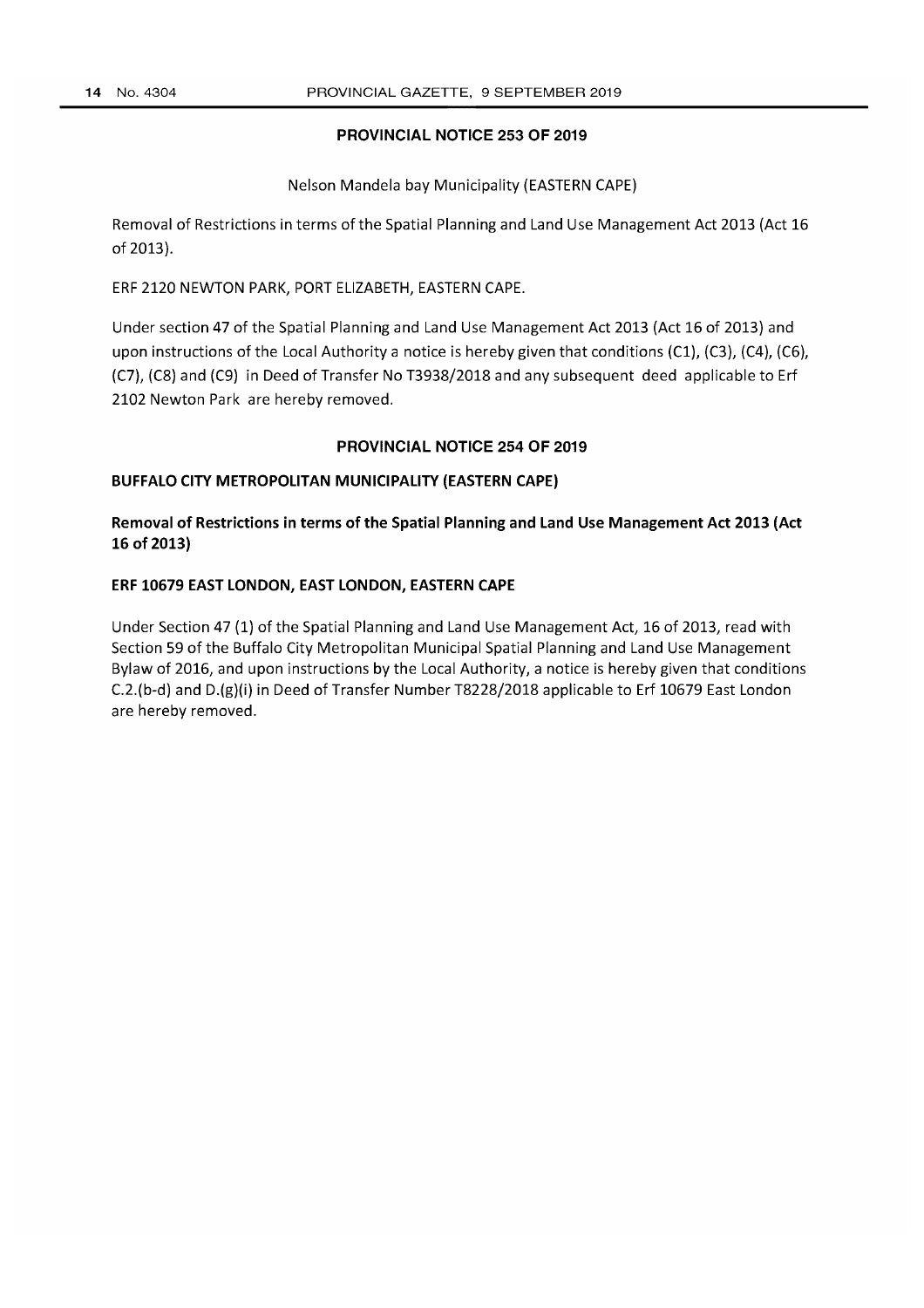#### PROVINCIAL NOTICE 253 OF 2019

Nelson Mandela bay Municipality (EASTERN CAPE)

Removal of Restrictions in terms of the Spatial Planning and Land Use Management Act 2013 (Act 16 of 2013).

ERF 2120 NEWTON PARK, PORT ELIZABETH, EASTERN CAPE.

Under section 47 of the Spatial Planning and Land Use Management Act 2013 (Act 16 of 2013) and upon instructions of the Local Authority a notice is hereby given that conditions (C1), (C3), (C4), (C6), (C7), (C8) and (C9) in Deed of Transfer No T3938/2018 and any subsequent deed applicable to Erf 2102 Newton Park are hereby removed.

#### PROVINCIAL NOTICE 254 OF 2019

#### BUFFALO CITY METROPOLITAN MUNICIPALITY (EASTERN CAPE)

Removal of Restrictions in terms of the Spatial Planning and Land Use Management Act 2013 (Act 16 of 2013)

#### ERF 10679 EAST LONDON, EAST LONDON, EASTERN CAPE

Under Section 47 (1) of the Spatial Planning and Land Use Management Act, 16 of 2013, read with Section 59 of the Buffalo City Metropolitan Municipal Spatial Planning and Land Use Management Bylaw of 2016, and upon instructions by the Local Authority, a notice is hereby given that conditions C.2.(b-d) and D.(g)(i) in Deed of Transfer Number T8228/2018 applicable to Erf 10679 East London are hereby removed.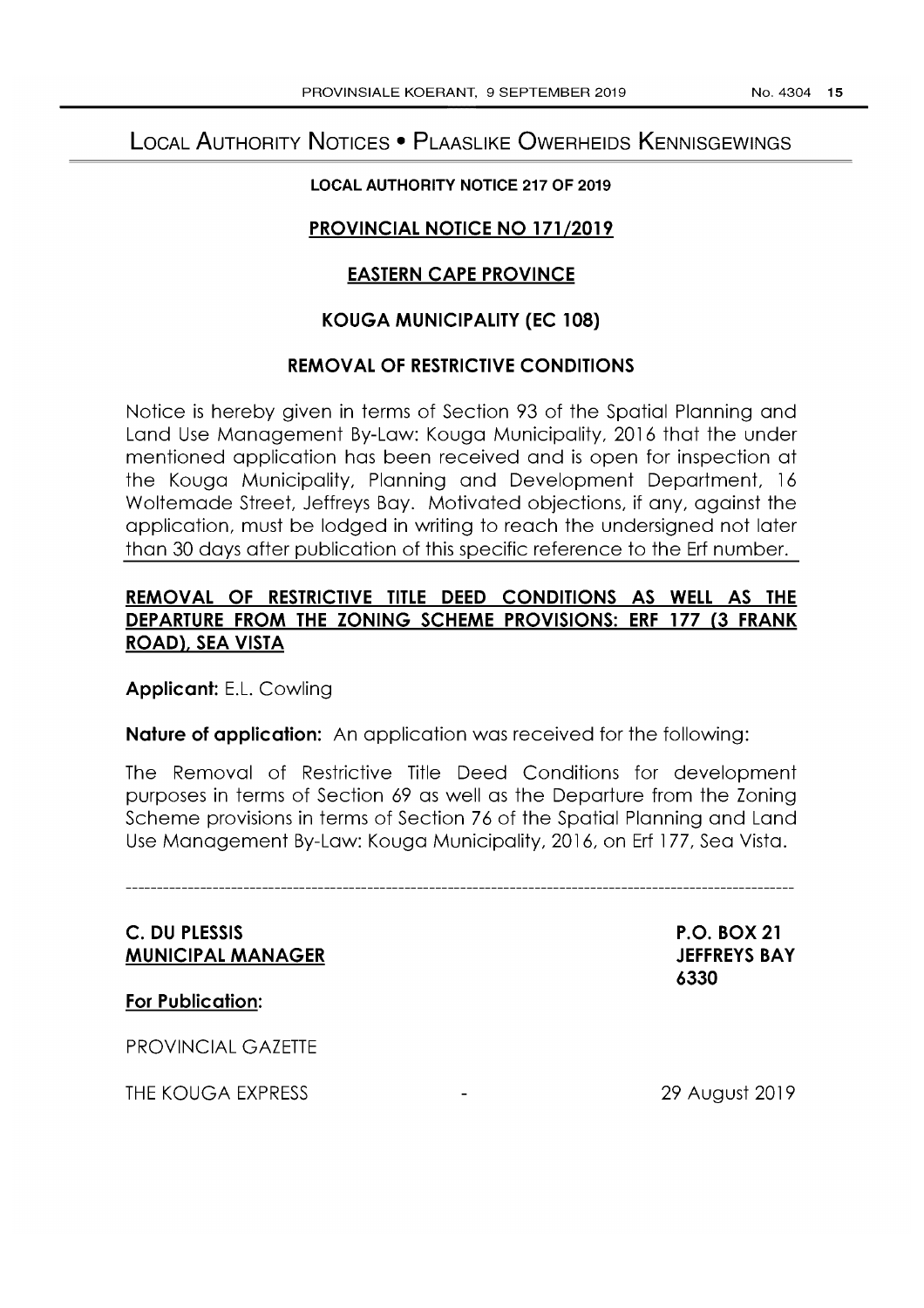# LOCAL AUTHORITY NOTICES • PLAASLIKE OWERHEIDS KENNISGEWINGS

## LOCAL AUTHORITY NOTICE 217 OF 2019

# PROVINCIAL NOTICE NO 171/2019

# EASTERN CAPE PROVINCE

# KOUGA MUNICIPALITY (EC 108)

# REMOVAL OF RESTRICTIVE CONDITIONS

Notice is hereby given in terms of Section 93 of the Spatial Planning and Land Use Management By-Law: Kouga Municipality, 2016 that the under mentioned application has been received and is open for inspection at the Kouga Municipality, Planning and Development Department, 16 Woltemade Street, Jeffreys Bay. Motivated objections, if any, against the application, must be lodged in writing to reach the undersigned not later than 30 days after publication of this specific reference to the Erf number.

# REMOVAL OF RESTRICTIVE TITLE DEED CONDITIONS AS WELL AS THE DEPARTURE FROM THE ZONING SCHEME PROVISIONS: ERF 177 (3 FRANK ROAD), SEA VISTA

# Applicant: E.L. Cowling

## Nature of application: An application was received for the following:

The Removal of Restrictive Title Deed Conditions for development purposes in terms of Section 69 as well as the Departure from the Zoning Scheme provisions in terms of Section 76 of the Spatial Planning and Land Use Management By-Law: Kouga Municipality, 2016, on Erf 177, Sea Vista.

# C. DU PLESSIS MUNICIPAL MANAGER

For Publication:

PROVINCIAL GAZETTE

THE KOUGA EXPRESS

P.O. BOX 21 JEFFREYS BAY 6330

29 August 2019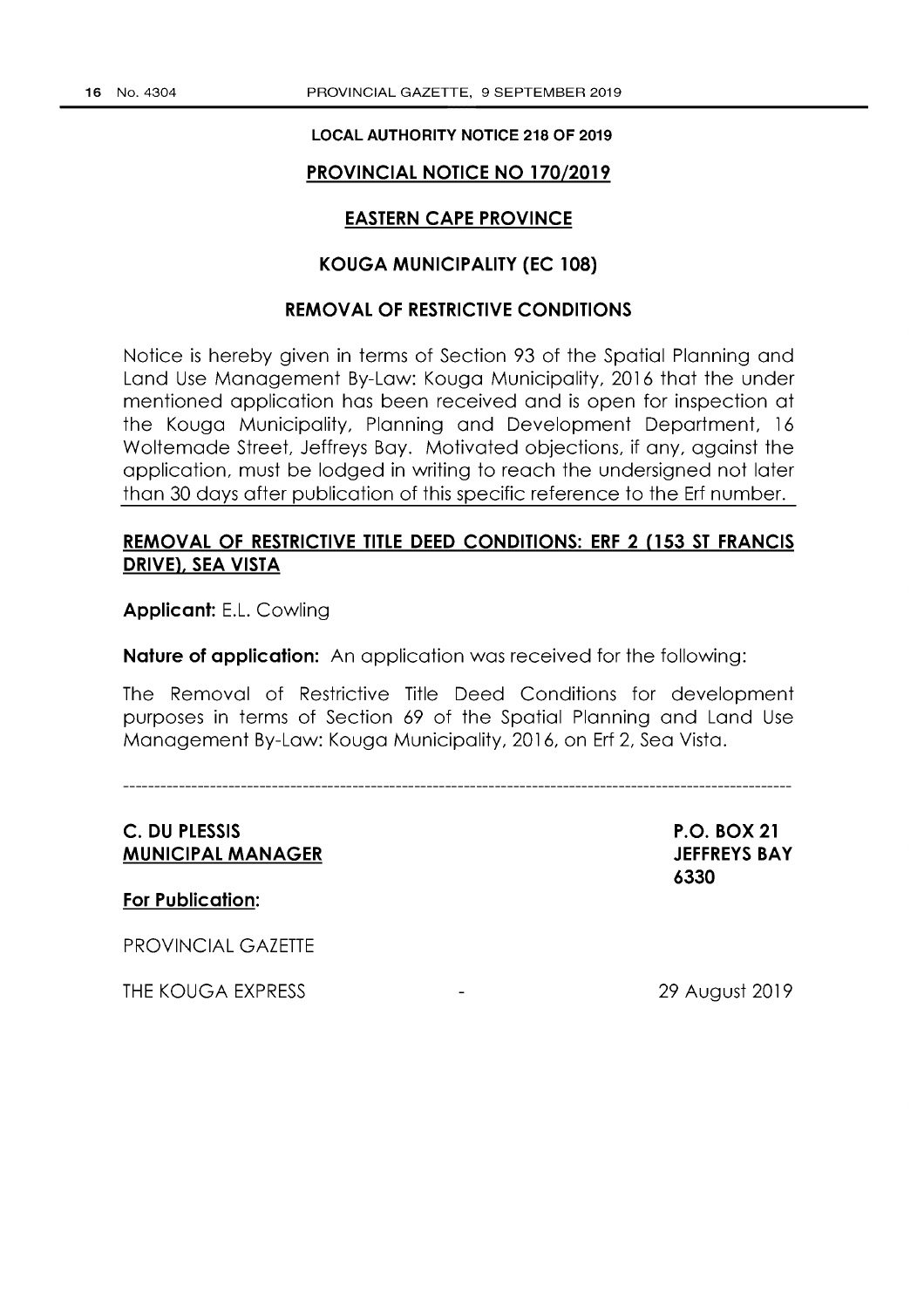## **LOCAL AUTHORITY NOTICE 218 OF 2019**

## **PROVINCIAL NOTICE NO 170/2019**

## **EASTERN CAPE PROVINCE**

## **KOUGA MUNICIPALITY (EC 108)**

## **REMOVAL OF RESTRICTIVE CONDITIONS**

Notice is hereby given **in** terms of Section 93 of the Spatial Planning and Land Use Management By-Low: Kouga Municipality, 2016 that the under mentioned application has been received and is open for inspection at the Kouga Municipality, Planning and Development Deportment, 16 Woltemade Street, Jeffreys Boy. Motivated objections, if any, against the application, must be lodged **in** writing to reach the undersigned not later than 30 days after publication of this specific reference to the Erf number.

# **REMOVAL OF RESTRICTIVE TITLE DEED CONDITIONS: ERF 2 (153 ST FRANCIS DRIVE), SEA VISTA**

**Applicant:** E.L. Cowling

**Nature of application:** An application was received for the following:

The Removal of Restrictive Title Deed Conditions for development purposes **in** terms of Section 69 of the Spatial Planning and Land Use Management By-Low: Kouga Municipality, 2016, on Erf 2, Sea Vista.

# **C. DU PLESSIS MUNICIPAL MANAGER**

**P.O. BOX 21 JEFFREYS BAY 6330** 

**For Publication:** 

PROVINCIAL GAZETTE

**THE** KOUGA EXPRESS

29 August 2019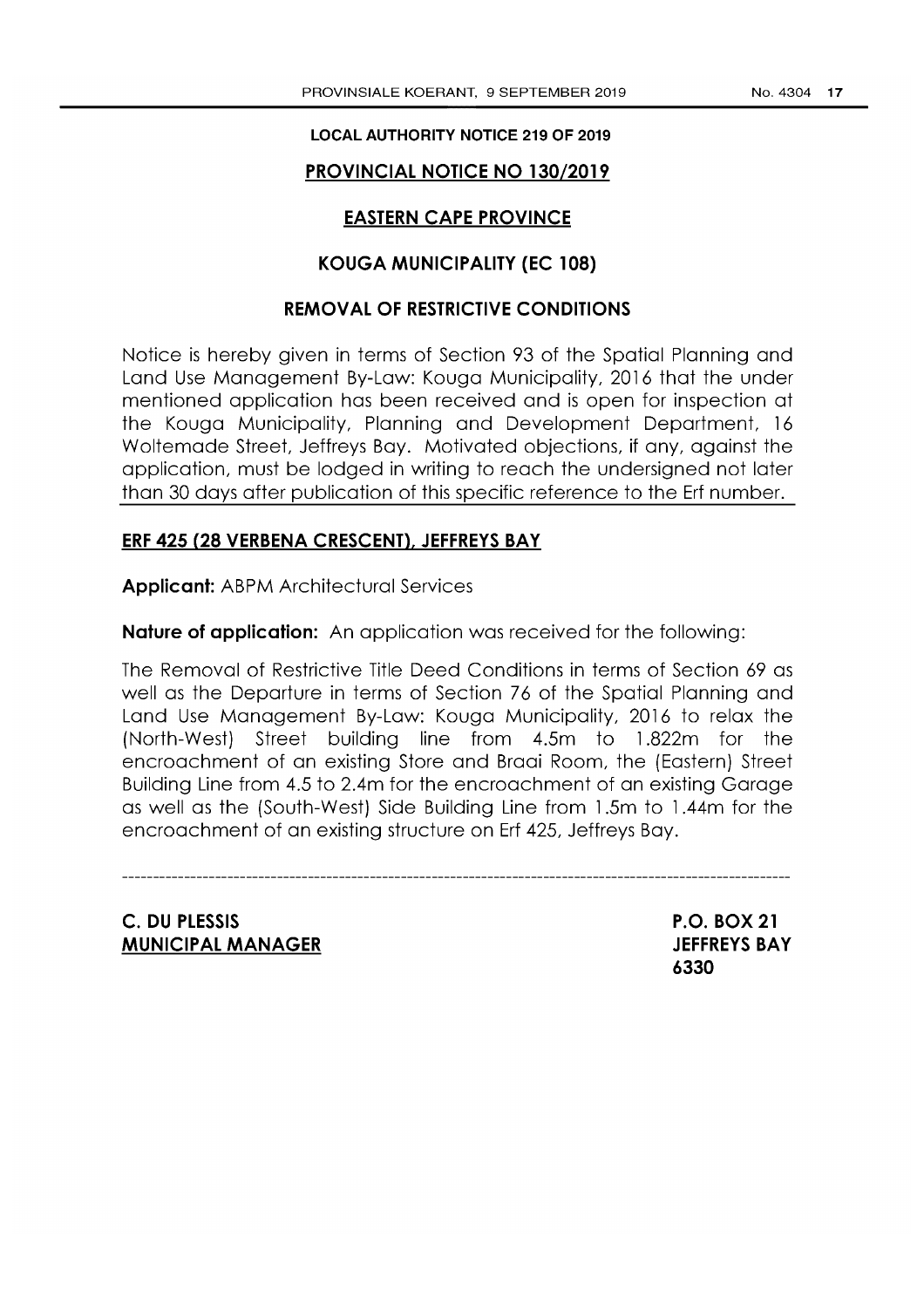## **LOCAL AUTHORITY NOTICE 219 OF 2019**

# **PROVINCIAL NOTICE NO 130/2019**

# **EASTERN CAPE PROVINCE**

# **KOUGA MUNICIPALITY (EC 108)**

# **REMOVAL OF RESTRICTIVE CONDITIONS**

Notice is hereby given in terms of Section 93 of the Spatial Planning and Land Use Management By-Law: Kouga Municipality, 2016 that the under mentioned application has been received and is open for inspection at the Kouga Municipality, Planning and Development Department, 16 Woltemade Street, Jeffreys Bay. Motivated objections, if any, against the application, must be lodged in writing to reach the undersigned not later than 30 days after publication of this specific reference to the Erf number.

# **ERF 425 (28 VERBENA CRESCENT), JEFFREYS BAY**

**Applicant:** ABPM Architectural Services

**Nature of application:** An application was received for the following:

The Removal of Restrictive Title Deed Conditions in terms of Section 69 as well as the Departure in terms of Section 76 of the Spatial Planning and Land Use Management By-Law: Kouga Municipality, 2016 to relax the (North-West) Street building line from 4.5m to 1.822m for the encroachment of an existing Store and Braai Room, the (Eastern) Street Building Line from 4.5 to 2.4m for the encroachment of an existing Garage as well as the (South-West) Side Building Line from 1.5m to 1.44m for the encroachment of an existing structure on Erf 425, Jeffreys Bay.

**C. DU PLESSIS MUNICIPAL MANAGER**  **P.O. BOX 21 JEFFREYS BAY 6330**